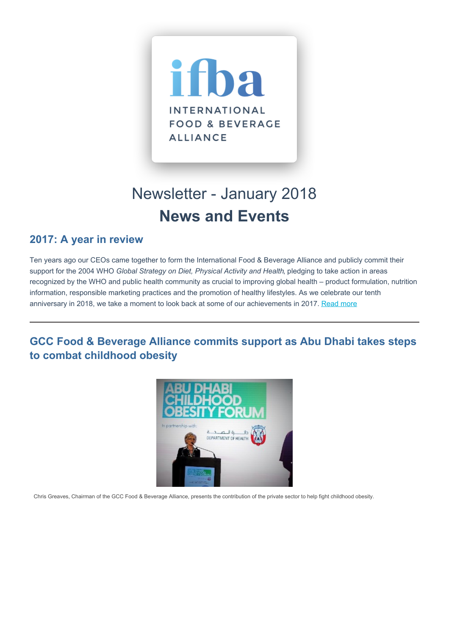

# Newsletter - January 2018 **News and Events**

#### **2017: A year in review**

Ten years ago our CEOs came together to form the International Food & Beverage Alliance and publicly commit their support for the 2004 WHO *Global Strategy on Diet, Physical Activity and Health*, pledging to take action in areas recognized by the WHO and public health community as crucial to improving global health – product formulation, nutrition information, responsible marketing practices and the promotion of healthy lifestyles. As we celebrate our tenth anniversary in 2018, we take a moment to look back at some of our achievements in 2017. [Read](https://ifballiance.org/uploads/press/pdf/5a5e40487d28b_IFBA%20Year%20in%20Review%202017.pdf) more

**GCC Food & Beverage Alliance commits support as Abu Dhabi takes steps to combat childhood obesity**



Chris Greaves, Chairman of the GCC Food & Beverage Alliance, presents the contribution of the private sector to help fight childhood obesity.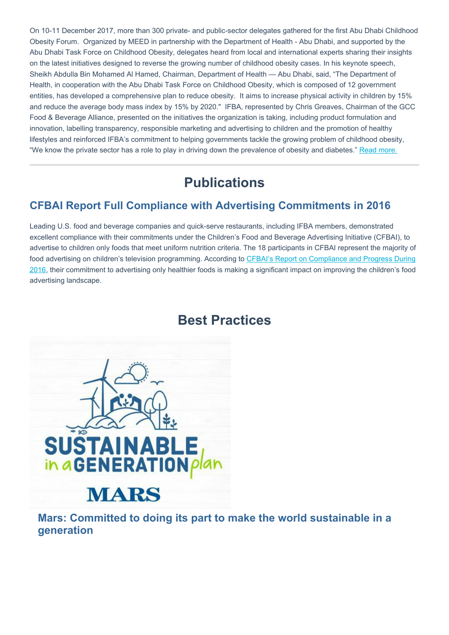On 10-11 December 2017, more than 300 private- and public-sector delegates gathered for the first Abu Dhabi Childhood Obesity Forum. Organized by MEED in partnership with the Department of Health - Abu Dhabi, and supported by the Abu Dhabi Task Force on Childhood Obesity, delegates heard from local and international experts sharing their insights on the latest initiatives designed to reverse the growing number of childhood obesity cases. In his keynote speech, Sheikh Abdulla Bin Mohamed Al Hamed, Chairman, Department of Health — Abu Dhabi, said, "The Department of Health, in cooperation with the Abu Dhabi Task Force on Childhood Obesity, which is composed of 12 government entities, has developed a comprehensive plan to reduce obesity. It aims to increase physical activity in children by 15% and reduce the average body mass index by 15% by 2020." IFBA, represented by Chris Greaves, Chairman of the GCC Food & Beverage Alliance, presented on the initiatives the organization is taking, including product formulation and innovation, labelling transparency, responsible marketing and advertising to children and the promotion of healthy lifestyles and reinforced IFBA's commitment to helping governments tackle the growing problem of childhood obesity, "We know the private sector has a role to play in driving down the prevalence of obesity and diabetes." Read [more.](https://www.thenational.ae/uae/big-business-are-committed-to-fight-against-obesity-1.683478)

## **Publications**

#### **CFBAI Report Full Compliance with Advertising Commitments in 2016**

Leading U.S. food and beverage companies and quick-serve restaurants, including IFBA members, demonstrated excellent compliance with their commitments under the Children's Food and Beverage Advertising Initiative (CFBAI), to advertise to children only foods that meet uniform nutrition criteria. The 18 participants in CFBAI represent the majority of food advertising on children's television [programming.](https://bbbprograms.org/siteassets/documents/cfbai/cfbai-annualreport-2016-final.pdf) According to CFBAI's Report on Compliance and Progress During 2016, their commitment to advertising only healthier foods is making a significant impact on improving the children's food advertising landscape.

### **Best Practices**



**Mars: Committed to doing its part to make the world sustainable in a generation**